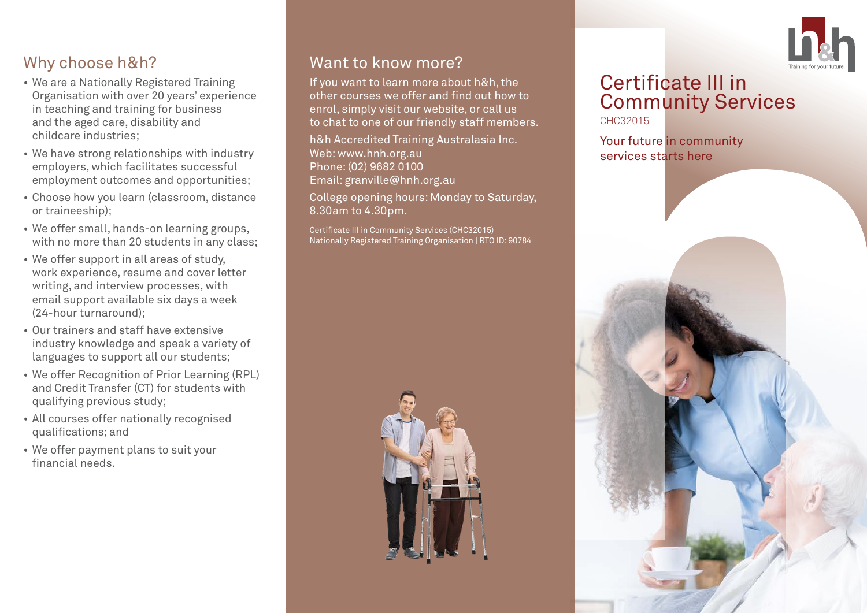

# Why choose h&h?

- We are a Nationally Registered Training Organisation with over 20 years' experience in teaching and training for business and the aged care, disability and childcare industries;
- We have strong relationships with industry employers, which facilitates successful employment outcomes and opportunities;
- Choose how you learn (classroom, distance or traineeship);
- We offer small, hands-on learning groups, with no more than 20 students in any class:
- We offer support in all areas of study, work experience, resume and cover letter writing, and interview processes, with email support available six days a week (24-hour turnaround);
- Our trainers and staff have extensive industry knowledge and speak a variety of languages to support all our students;
- We offer Recognition of Prior Learning (RPL) and Credit Transfer (CT) for students with qualifying previous study;
- All courses offer nationally recognised qualifications; and
- We offer payment plans to suit your financial needs.

## Want to know more?

If you want to learn more about h&h, the other courses we offer and find out how to enrol, simply visit our website, or call us to chat to one of our friendly staff members.

h&h Accredited Training Australasia Inc. Web: www.hnh.org.au Phone: (02) 9682 0100 Email: granville@hnh.org.au

College opening hours: Monday to Saturday, 8.30am to 4.30pm.

Certificate III in Community Services (CHC32015) Nationally Registered Training Organisation | RTO ID: 90784



#### Certificate III in Community Services CHC32015

Your future in community services starts here